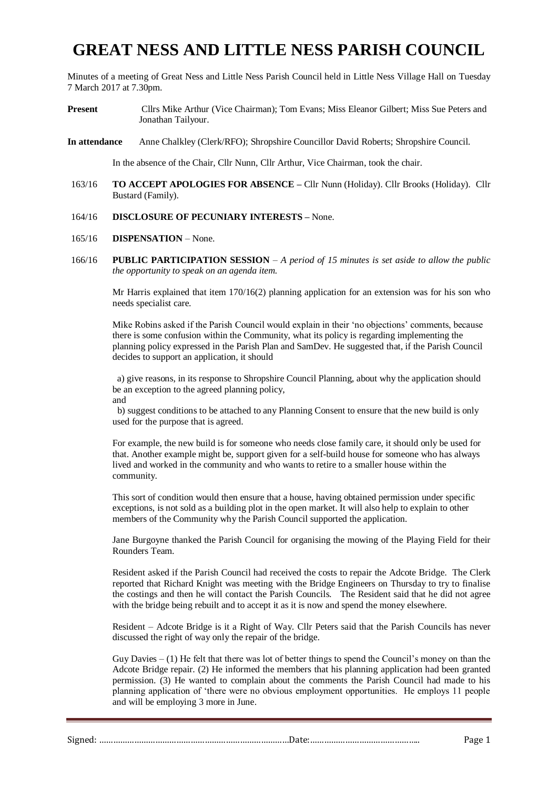# **GREAT NESS AND LITTLE NESS PARISH COUNCIL**

Minutes of a meeting of Great Ness and Little Ness Parish Council held in Little Ness Village Hall on Tuesday 7 March 2017 at 7.30pm.

- **Present** Cllrs Mike Arthur (Vice Chairman); Tom Evans; Miss Eleanor Gilbert; Miss Sue Peters and Jonathan Tailyour.
- **In attendance** Anne Chalkley (Clerk/RFO); Shropshire Councillor David Roberts; Shropshire Council.

In the absence of the Chair, Cllr Nunn, Cllr Arthur, Vice Chairman, took the chair.

- 163/16 **TO ACCEPT APOLOGIES FOR ABSENCE –** Cllr Nunn (Holiday). Cllr Brooks (Holiday). Cllr Bustard (Family).
- 164/16 **DISCLOSURE OF PECUNIARY INTERESTS –** None.
- 165/16 **DISPENSATION** None.
- 166/16 **PUBLIC PARTICIPATION SESSION** *A period of 15 minutes is set aside to allow the public the opportunity to speak on an agenda item.*

Mr Harris explained that item 170/16(2) planning application for an extension was for his son who needs specialist care.

Mike Robins asked if the Parish Council would explain in their 'no objections' comments, because there is some confusion within the Community, what its policy is regarding implementing the planning policy expressed in the Parish Plan and SamDev. He suggested that, if the Parish Council decides to support an application, it should

a) give reasons, in its response to Shropshire Council Planning, about why the application should be an exception to the agreed planning policy, and

b) suggest conditions to be attached to any Planning Consent to ensure that the new build is only used for the purpose that is agreed.

For example, the new build is for someone who needs close family care, it should only be used for that. Another example might be, support given for a self-build house for someone who has always lived and worked in the community and who wants to retire to a smaller house within the community.

This sort of condition would then ensure that a house, having obtained permission under specific exceptions, is not sold as a building plot in the open market. It will also help to explain to other members of the Community why the Parish Council supported the application.

Jane Burgoyne thanked the Parish Council for organising the mowing of the Playing Field for their Rounders Team.

Resident asked if the Parish Council had received the costs to repair the Adcote Bridge. The Clerk reported that Richard Knight was meeting with the Bridge Engineers on Thursday to try to finalise the costings and then he will contact the Parish Councils. The Resident said that he did not agree with the bridge being rebuilt and to accept it as it is now and spend the money elsewhere.

Resident – Adcote Bridge is it a Right of Way. Cllr Peters said that the Parish Councils has never discussed the right of way only the repair of the bridge.

Guy Davies  $- (1)$  He felt that there was lot of better things to spend the Council's money on than the Adcote Bridge repair. (2) He informed the members that his planning application had been granted permission. (3) He wanted to complain about the comments the Parish Council had made to his planning application of 'there were no obvious employment opportunities. He employs 11 people and will be employing 3 more in June.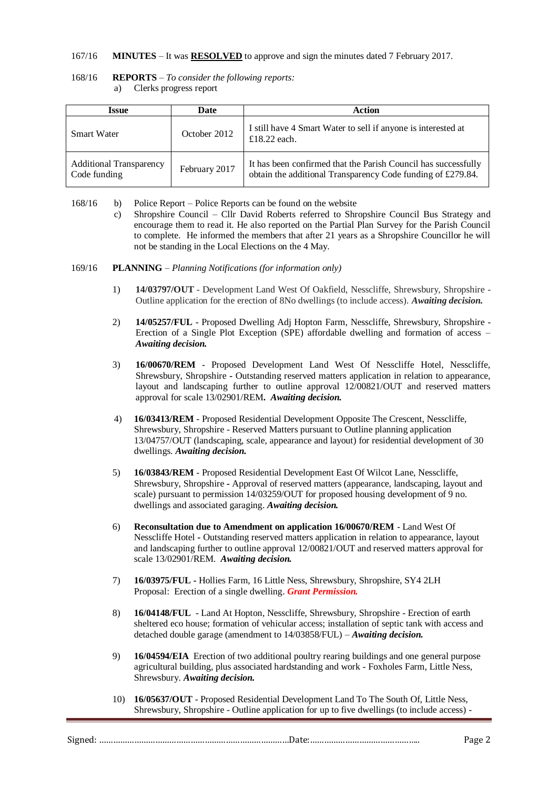### 167/16 **MINUTES** – It was **RESOLVED** to approve and sign the minutes dated 7 February 2017.

| 168/16 | <b>REPORTS</b> – To consider the following reports: |
|--------|-----------------------------------------------------|
|        | Clerks progress report                              |

| Issue                                          | Date          | Action                                                                                                                        |
|------------------------------------------------|---------------|-------------------------------------------------------------------------------------------------------------------------------|
| <b>Smart Water</b>                             | October 2012  | I still have 4 Smart Water to sell if anyone is interested at<br>£18.22 each.                                                 |
| <b>Additional Transparency</b><br>Code funding | February 2017 | It has been confirmed that the Parish Council has successfully<br>obtain the additional Transparency Code funding of £279.84. |

168/16 b) Police Report – Police Reports can be found on the website

- c) Shropshire Council Cllr David Roberts referred to Shropshire Council Bus Strategy and encourage them to read it. He also reported on the Partial Plan Survey for the Parish Council to complete. He informed the members that after 21 years as a Shropshire Councillor he will not be standing in the Local Elections on the 4 May.
- 169/16 **PLANNING** *Planning Notifications (for information only)*
	- 1) **14/03797/OUT** Development Land West Of Oakfield, Nesscliffe, Shrewsbury, Shropshire Outline application for the erection of 8No dwellings (to include access). *Awaiting decision.*
	- 2) **14/05257/FUL** Proposed Dwelling Adj Hopton Farm, Nesscliffe, Shrewsbury, Shropshire Erection of a Single Plot Exception (SPE) affordable dwelling and formation of access – *Awaiting decision.*
	- 3) **16/00670/REM** Proposed Development Land West Of Nesscliffe Hotel, Nesscliffe, Shrewsbury, Shropshire **-** Outstanding reserved matters application in relation to appearance, layout and landscaping further to outline approval 12/00821/OUT and reserved matters approval for scale 13/02901/REM**.** *Awaiting decision.*
	- 4) **16/03413/REM** Proposed Residential Development Opposite The Crescent, Nesscliffe, Shrewsbury, Shropshire - Reserved Matters pursuant to Outline planning application 13/04757/OUT (landscaping, scale, appearance and layout) for residential development of 30 dwellings. *Awaiting decision.*
	- 5) **16/03843/REM** Proposed Residential Development East Of Wilcot Lane, Nesscliffe, Shrewsbury, Shropshire *-* Approval of reserved matters (appearance, landscaping, layout and scale) pursuant to permission 14/03259/OUT for proposed housing development of 9 no. dwellings and associated garaging. *Awaiting decision.*
	- 6) **Reconsultation due to Amendment on application 16/00670/REM** Land West Of Nesscliffe Hotel *-* Outstanding reserved matters application in relation to appearance, layout and landscaping further to outline approval 12/00821/OUT and reserved matters approval for scale 13/02901/REM. *Awaiting decision.*
	- 7) **16/03975/FUL** *-* Hollies Farm, 16 Little Ness, Shrewsbury, Shropshire, SY4 2LH Proposal: Erection of a single dwelling. *Grant Permission.*
	- 8) **16/04148/FUL** Land At Hopton, Nesscliffe, Shrewsbury, Shropshire Erection of earth sheltered eco house; formation of vehicular access; installation of septic tank with access and detached double garage (amendment to 14/03858/FUL) – *Awaiting decision.*
	- 9) **16/04594/EIA** Erection of two additional poultry rearing buildings and one general purpose agricultural building, plus associated hardstanding and work - Foxholes Farm, Little Ness, Shrewsbury. *Awaiting decision.*
	- 10) **16/05637/OUT** Proposed Residential Development Land To The South Of, Little Ness, Shrewsbury, Shropshire - Outline application for up to five dwellings (to include access) -

| . 11 |  |
|------|--|
|------|--|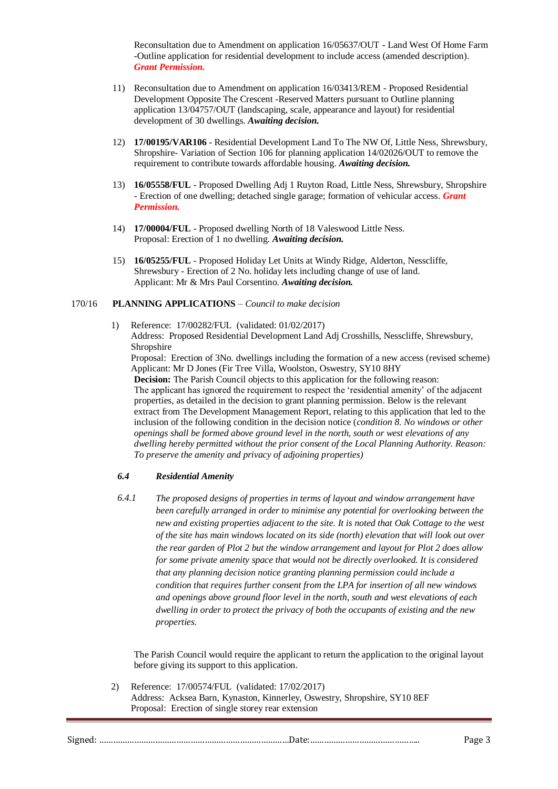Reconsultation due to Amendment on application 16/05637/OUT - Land West Of Home Farm -Outline application for residential development to include access (amended description). *Grant Permission.*

- 11) Reconsultation due to Amendment on application 16/03413/REM Proposed Residential Development Opposite The Crescent -Reserved Matters pursuant to Outline planning application 13/04757/OUT (landscaping, scale, appearance and layout) for residential development of 30 dwellings. *Awaiting decision.*
- 12) **17/00195/VAR106** Residential Development Land To The NW Of, Little Ness, Shrewsbury, Shropshire- Variation of Section 106 for planning application 14/02026/OUT to remove the requirement to contribute towards affordable housing. *Awaiting decision.*
- 13) **16/05558/FUL** Proposed Dwelling Adj 1 Ruyton Road, Little Ness, Shrewsbury, Shropshire - Erection of one dwelling; detached single garage; formation of vehicular access. *Grant Permission.*
- 14) **17/00004/FUL** Proposed dwelling North of 18 Valeswood Little Ness. Proposal: Erection of 1 no dwelling. *Awaiting decision.*
- 15) **16/05255/FUL** Proposed Holiday Let Units at Windy Ridge, Alderton, Nesscliffe, Shrewsbury - Erection of 2 No. holiday lets including change of use of land. Applicant: Mr & Mrs Paul Corsentino. *Awaiting decision.*

#### 170/16 **PLANNING APPLICATIONS** – *Council to make decision*

1) Reference: 17/00282/FUL (validated: 01/02/2017) Address: Proposed Residential Development Land Adj Crosshills, Nesscliffe, Shrewsbury, Shropshire

Proposal: Erection of 3No. dwellings including the formation of a new access (revised scheme) Applicant: Mr D Jones (Fir Tree Villa, Woolston, Oswestry, SY10 8HY

**Decision:** The Parish Council objects to this application for the following reason: The applicant has ignored the requirement to respect the 'residential amenity' of the adjacent properties, as detailed in the decision to grant planning permission. Below is the relevant extract from The Development Management Report, relating to this application that led to the inclusion of the following condition in the decision notice (*condition 8. No windows or other openings shall be formed above ground level in the north, south or west elevations of any dwelling hereby permitted without the prior consent of the Local Planning Authority. Reason: To preserve the amenity and privacy of adjoining properties)*

### *6.4 Residential Amenity*

*6.4.1 The proposed designs of properties in terms of layout and window arrangement have been carefully arranged in order to minimise any potential for overlooking between the new and existing properties adjacent to the site. It is noted that Oak Cottage to the west of the site has main windows located on its side (north) elevation that will look out over the rear garden of Plot 2 but the window arrangement and layout for Plot 2 does allow for some private amenity space that would not be directly overlooked. It is considered that any planning decision notice granting planning permission could include a condition that requires further consent from the LPA for insertion of all new windows and openings above ground floor level in the north, south and west elevations of each dwelling in order to protect the privacy of both the occupants of existing and the new properties.* 

The Parish Council would require the applicant to return the application to the original layout before giving its support to this application.

2) Reference: 17/00574/FUL (validated: 17/02/2017) Address: Acksea Barn, Kynaston, Kinnerley, Oswestry, Shropshire, SY10 8EF Proposal: Erection of single storey rear extension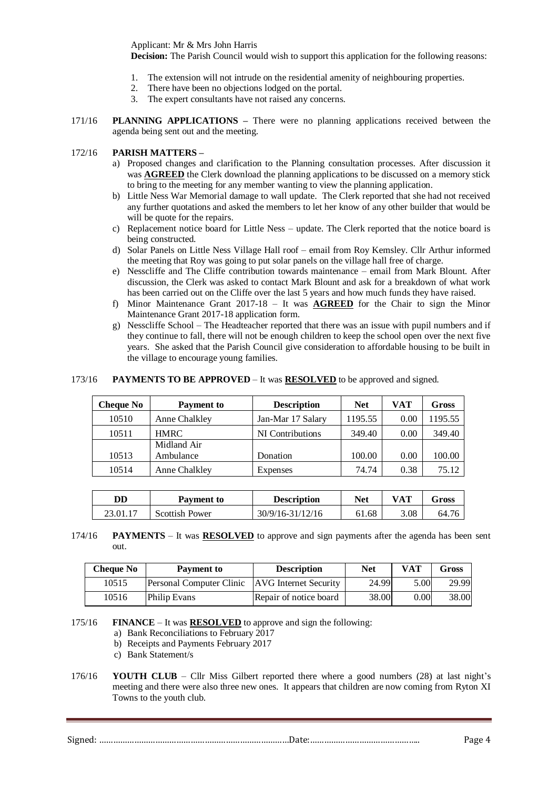Applicant: Mr & Mrs John Harris

**Decision:** The Parish Council would wish to support this application for the following reasons:

- 1. The extension will not intrude on the residential amenity of neighbouring properties.
- 2. There have been no objections lodged on the portal.
- 3. The expert consultants have not raised any concerns.
- 171/16 **PLANNING APPLICATIONS –** There were no planning applications received between the agenda being sent out and the meeting.

#### 172/16 **PARISH MATTERS –**

- a) Proposed changes and clarification to the Planning consultation processes. After discussion it was **AGREED** the Clerk download the planning applications to be discussed on a memory stick to bring to the meeting for any member wanting to view the planning application.
- b) Little Ness War Memorial damage to wall update. The Clerk reported that she had not received any further quotations and asked the members to let her know of any other builder that would be will be quote for the repairs.
- c) Replacement notice board for Little Ness update. The Clerk reported that the notice board is being constructed.
- d) Solar Panels on Little Ness Village Hall roof email from Roy Kemsley. Cllr Arthur informed the meeting that Roy was going to put solar panels on the village hall free of charge.
- e) Nesscliffe and The Cliffe contribution towards maintenance email from Mark Blount. After discussion, the Clerk was asked to contact Mark Blount and ask for a breakdown of what work has been carried out on the Cliffe over the last 5 years and how much funds they have raised.
- f) Minor Maintenance Grant 2017-18 It was **AGREED** for the Chair to sign the Minor Maintenance Grant 2017-18 application form.
- g) Nesscliffe School The Headteacher reported that there was an issue with pupil numbers and if they continue to fall, there will not be enough children to keep the school open over the next five years. She asked that the Parish Council give consideration to affordable housing to be built in the village to encourage young families.

#### 173/16 **PAYMENTS TO BE APPROVED** – It was **RESOLVED** to be approved and signed.

| Cheque No | <b>Payment to</b> | <b>Description</b> | <b>Net</b> | VAT  | Gross   |
|-----------|-------------------|--------------------|------------|------|---------|
| 10510     | Anne Chalkley     | Jan-Mar 17 Salary  | 1195.55    | 0.00 | 1195.55 |
| 10511     | <b>HMRC</b>       | NI Contributions   | 349.40     | 0.00 | 349.40  |
|           | Midland Air       |                    |            |      |         |
| 10513     | Ambulance         | Donation           | 100.00     | 0.00 | 100.00  |
| 10514     | Anne Chalkley     | <b>Expenses</b>    | 74.74      | 0.38 | 75.12   |

| DD       | <b>Payment to</b> | <b>Description</b> | Net   | VAT  | $\sigma$ ross |
|----------|-------------------|--------------------|-------|------|---------------|
| 23.01.1′ | Scottish Power    | 30/9/16-31/12/16   | 61.68 | 3.08 | 64.76         |

174/16 **PAYMENTS** – It was **RESOLVED** to approve and sign payments after the agenda has been sent out.

| <b>Cheque No</b> | Payment to               | <b>Description</b>     | <b>Net</b> | <b>VAT</b> | Gross |
|------------------|--------------------------|------------------------|------------|------------|-------|
| 10515            | Personal Computer Clinic | AVG Internet Security  | 24.99      | 5.00       | 29.99 |
| 10516            | <b>Philip Evans</b>      | Repair of notice board | 38.00      | 0.00       | 38.00 |

175/16 **FINANCE** – It was **RESOLVED** to approve and sign the following:

- a) Bank Reconciliations to February 2017
- b) Receipts and Payments February 2017
- c) Bank Statement/s
- 176/16 **YOUTH CLUB** Cllr Miss Gilbert reported there where a good numbers (28) at last night's meeting and there were also three new ones. It appears that children are now coming from Ryton XI Towns to the youth club.